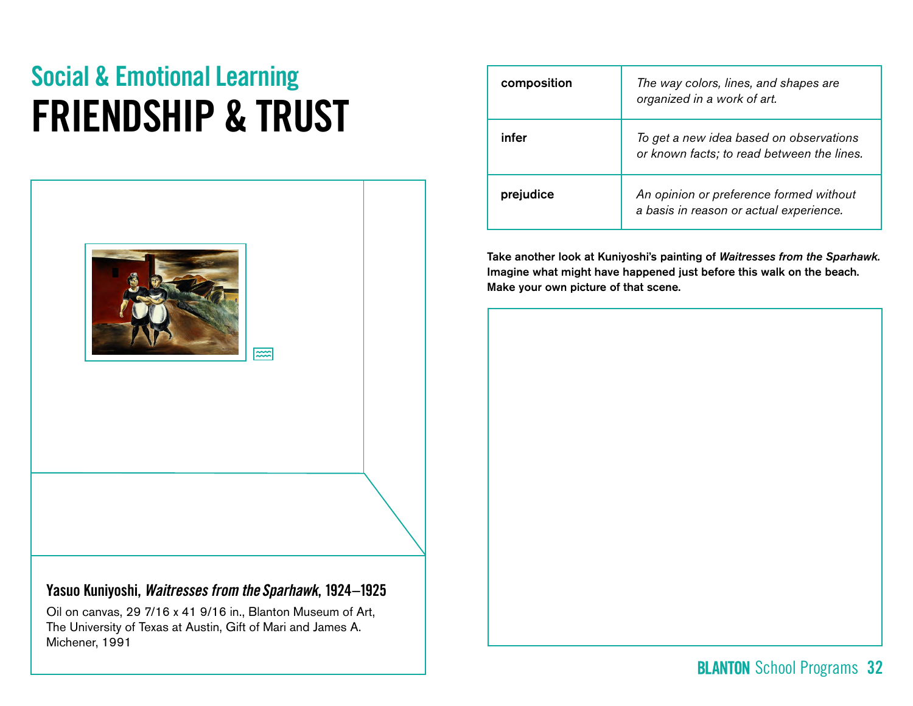# Social & Emotional Learning FRIENDSHIP & TRUST



### Yasuo Kuniyoshi, *Waitresses from the Sparhawk***, 1924–1925**

Oil on canvas, 29 7/16 x 41 9/16 in., Blanton Museum of Art, The University of Texas at Austin, Gift of Mari and James A. Michener, 1991

| composition | The way colors, lines, and shapes are<br>organized in a work of art.                  |
|-------------|---------------------------------------------------------------------------------------|
| infer       | To get a new idea based on observations<br>or known facts; to read between the lines. |
| prejudice   | An opinion or preference formed without<br>a basis in reason or actual experience.    |

Take another look at Kuniyoshi's painting of *Waitresses from the Sparhawk.* Imagine what might have happened just before this walk on the beach. Make your own picture of that scene.

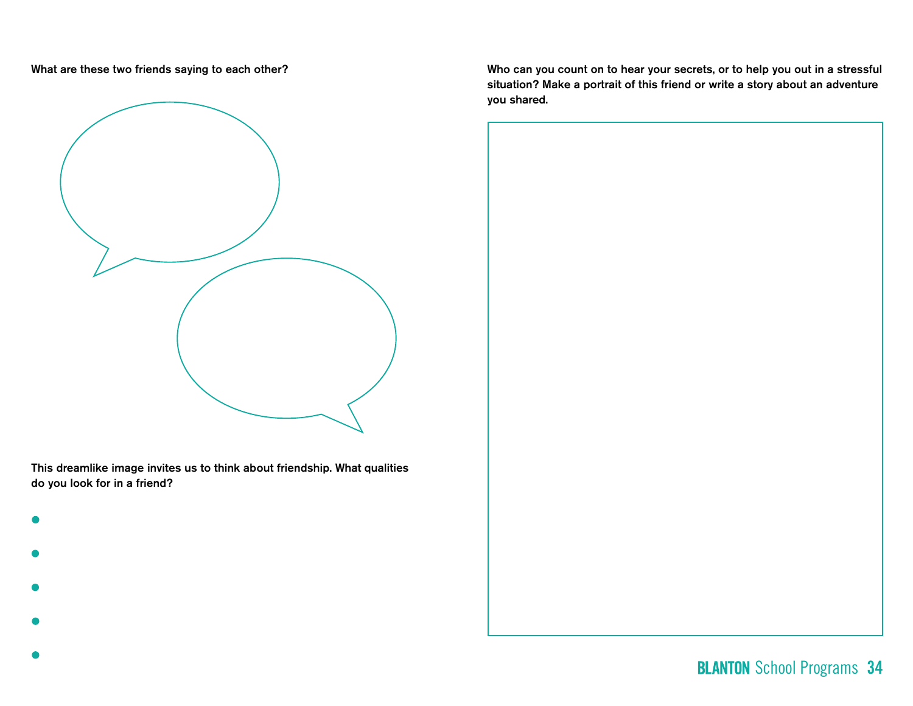

This dreamlike image invites us to think about friendship. What qualities do you look for in a friend?

- 
- 
- 
- 
- 

What are these two friends saying to each other? Who can you count on to hear your secrets, or to help you out in a stressful situation? Make a portrait of this friend or write a story about an adventure you shared.